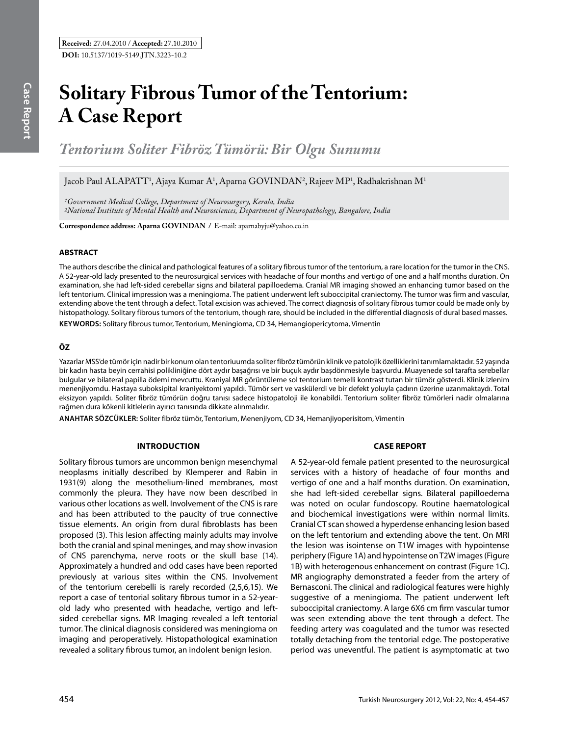# **Solitary Fibrous Tumor of the Tentorium: A Case Report**

*Tentorium Soliter Fibröz Tümörü: Bir Olgu Sunumu* 

Jacob Paul ALAPATT<sup>1</sup>, Ajaya Kumar A<sup>1</sup>, Aparna GOVINDAN<sup>2</sup>, Rajeev MP<sup>1</sup>, Radhakrishnan M<sup>1</sup>

*1Government Medical College, Department of Neurosurgery, Kerala, India 2National Institute of Mental Health and Neurosciences, Department of Neuropathology, Bangalore, India*

**Correspondence address: Aparna Govından /** E-mail: aparnabyju@yahoo.co.in

### **ABSTRACT**

The authors describe the clinical and pathological features of a solitary fibrous tumor of the tentorium, a rare location for the tumor in the CNS. A 52-year-old lady presented to the neurosurgical services with headache of four months and vertigo of one and a half months duration. On examination, she had left-sided cerebellar signs and bilateral papilloedema. Cranial MR imaging showed an enhancing tumor based on the left tentorium. Clinical impression was a meningioma. The patient underwent left suboccipital craniectomy. The tumor was firm and vascular, extending above the tent through a defect. Total excision was achieved. The correct diagnosis of solitary fibrous tumor could be made only by histopathology. Solitary fibrous tumors of the tentorium, though rare, should be included in the differential diagnosis of dural based masses. **Keywords:** Solitary fibrous tumor, Tentorium, Meningioma, CD 34, Hemangiopericytoma, Vimentin

### **ÖZ**

Yazarlar MSS'de tümör için nadir bir konum olan tentoriuumda soliter fibröz tümörün klinik ve patolojik özelliklerini tanımlamaktadır. 52 yaşında bir kadın hasta beyin cerrahisi polikliniğine dört aydır başağrısı ve bir buçuk aydır başdönmesiyle başvurdu. Muayenede sol tarafta serebellar bulgular ve bilateral papilla ödemi mevcuttu. Kraniyal MR görüntüleme sol tentorium temelli kontrast tutan bir tümör gösterdi. Klinik izlenim menenjiyomdu. Hastaya suboksipital kraniyektomi yapıldı. Tümör sert ve vaskülerdi ve bir defekt yoluyla çadırın üzerine uzanmaktaydı. Total eksizyon yapıldı. Soliter fibröz tümörün doğru tanısı sadece histopatoloji ile konabildi. Tentorium soliter fibröz tümörleri nadir olmalarına rağmen dura kökenli kitlelerin ayırıcı tanısında dikkate alınmalıdır.

**ANAHTAR SÖZCÜKLER:** Soliter fibröz tümör, Tentorium, Menenjiyom, CD 34, Hemanjiyoperisitom, Vimentin

### **Introduction**

Solitary fibrous tumors are uncommon benign mesenchymal neoplasms initially described by Klemperer and Rabin in 1931(9) along the mesothelium-lined membranes, most commonly the pleura. They have now been described in various other locations as well. Involvement of the CNS is rare and has been attributed to the paucity of true connective tissue elements. An origin from dural fibroblasts has been proposed (3). This lesion affecting mainly adults may involve both the cranial and spinal meninges, and may show invasion of CNS parenchyma, nerve roots or the skull base (14). Approximately a hundred and odd cases have been reported previously at various sites within the CNS. Involvement of the tentorium cerebelli is rarely recorded (2,5,6,15). We report a case of tentorial solitary fibrous tumor in a 52-yearold lady who presented with headache, vertigo and leftsided cerebellar signs. MR Imaging revealed a left tentorial tumor. The clinical diagnosis considered was meningioma on imaging and peroperatively. Histopathological examination revealed a solitary fibrous tumor, an indolent benign lesion.

## **CASE REPORT**

A 52-year-old female patient presented to the neurosurgical services with a history of headache of four months and vertigo of one and a half months duration. On examination, she had left-sided cerebellar signs. Bilateral papilloedema was noted on ocular fundoscopy. Routine haematological and biochemical investigations were within normal limits. Cranial CT scan showed a hyperdense enhancing lesion based on the left tentorium and extending above the tent. On MRI the lesion was isointense on T1W images with hypointense periphery (Figure 1A) and hypointense on T2W images (Figure 1B) with heterogenous enhancement on contrast (Figure 1C). MR angiography demonstrated a feeder from the artery of Bernasconi. The clinical and radiological features were highly suggestive of a meningioma. The patient underwent left suboccipital craniectomy. A large 6X6 cm firm vascular tumor was seen extending above the tent through a defect. The feeding artery was coagulated and the tumor was resected totally detaching from the tentorial edge. The postoperative period was uneventful. The patient is asymptomatic at two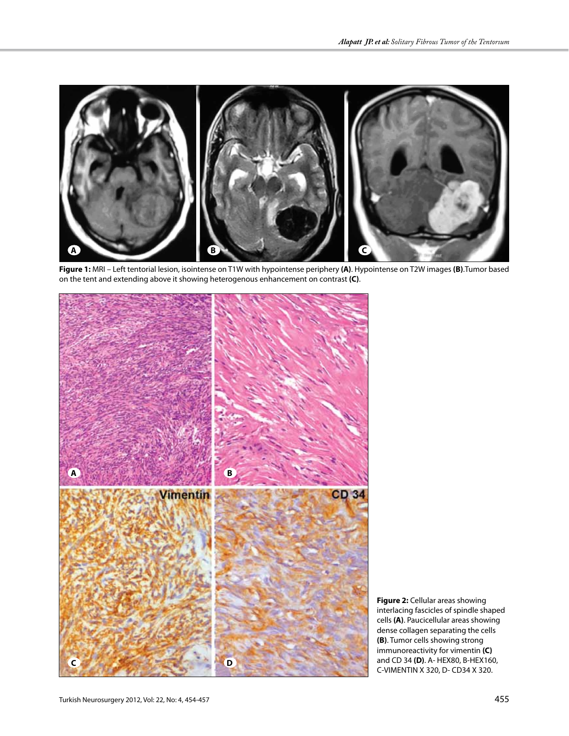

**Figure 1:** MRI – Left tentorial lesion, isointense on T1W with hypointense periphery **(A)**. Hypointense on T2W images **(B)**.Tumor based on the tent and extending above it showing heterogenous enhancement on contrast **(C)**.



**Figure 2:** Cellular areas showing interlacing fascicles of spindle shaped cells **(A)**. Paucicellular areas showing dense collagen separating the cells **(B)**. Tumor cells showing strong immunoreactivity for vimentin **(C)** and CD 34 **(D)**. A- HEX80, B-HEX160, C-VIMENTIN X 320, D- CD34 X 320.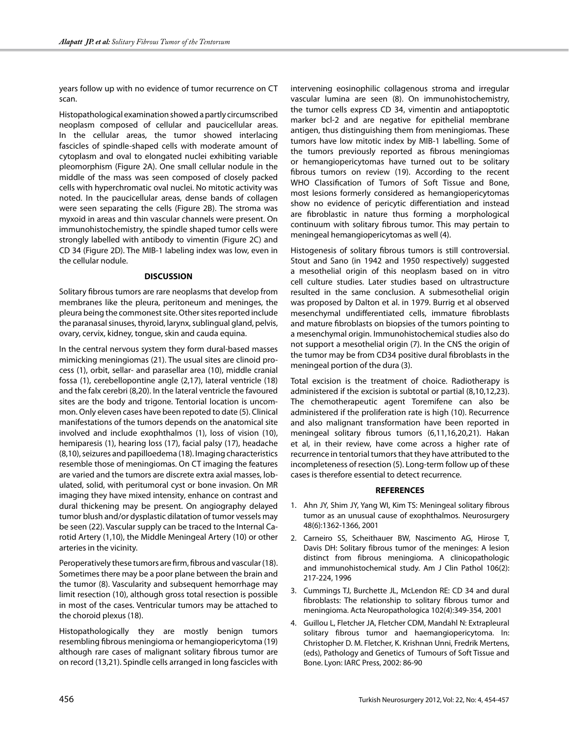years follow up with no evidence of tumor recurrence on CT scan.

Histopathological examination showed a partly circumscribed neoplasm composed of cellular and paucicellular areas. In the cellular areas, the tumor showed interlacing fascicles of spindle-shaped cells with moderate amount of cytoplasm and oval to elongated nuclei exhibiting variable pleomorphism (Figure 2A). One small cellular nodule in the middle of the mass was seen composed of closely packed cells with hyperchromatic oval nuclei. No mitotic activity was noted. In the paucicellular areas, dense bands of collagen were seen separating the cells (Figure 2B). The stroma was myxoid in areas and thin vascular channels were present. On immunohistochemistry, the spindle shaped tumor cells were strongly labelled with antibody to vimentin (Figure 2C) and CD 34 (Figure 2D). The MIB-1 labeling index was low, even in the cellular nodule.

### **DISCUSSION**

Solitary fibrous tumors are rare neoplasms that develop from membranes like the pleura, peritoneum and meninges, the pleura being the commonest site. Other sites reported include the paranasal sinuses, thyroid, larynx, sublingual gland, pelvis, ovary, cervix, kidney, tongue, skin and cauda equina.

In the central nervous system they form dural-based masses mimicking meningiomas (21). The usual sites are clinoid process (1), orbit, sellar- and parasellar area (10), middle cranial fossa (1), cerebellopontine angle (2,17), lateral ventricle (18) and the falx cerebri (8,20). In the lateral ventricle the favoured sites are the body and trigone. Tentorial location is uncommon. Only eleven cases have been repoted to date (5). Clinical manifestations of the tumors depends on the anatomical site involved and include exophthalmos (1), loss of vision (10), hemiparesis (1), hearing loss (17), facial palsy (17), headache (8,10), seizures and papilloedema (18). Imaging characteristics resemble those of meningiomas. On CT imaging the features are varied and the tumors are discrete extra axial masses, lobulated, solid, with peritumoral cyst or bone invasion. On MR imaging they have mixed intensity, enhance on contrast and dural thickening may be present. On angiography delayed tumor blush and/or dysplastic dilatation of tumor vessels may be seen (22). Vascular supply can be traced to the Internal Carotid Artery (1,10), the Middle Meningeal Artery (10) or other arteries in the vicinity.

Peroperatively these tumors are firm, fibrous and vascular (18). Sometimes there may be a poor plane between the brain and the tumor (8). Vascularity and subsequent hemorrhage may limit resection (10), although gross total resection is possible in most of the cases. Ventricular tumors may be attached to the choroid plexus (18).

Histopathologically they are mostly benign tumors resembling fibrous meningioma or hemangiopericytoma (19) although rare cases of malignant solitary fibrous tumor are on record (13,21). Spindle cells arranged in long fascicles with intervening eosinophilic collagenous stroma and irregular vascular lumina are seen (8). On immunohistochemistry, the tumor cells express CD 34, vimentin and antiapoptotic marker bcl-2 and are negative for epithelial membrane antigen, thus distinguishing them from meningiomas. These tumors have low mitotic index by MIB-1 labelling. Some of the tumors previously reported as fibrous meningiomas or hemangiopericytomas have turned out to be solitary fibrous tumors on review (19). According to the recent WHO Classification of Tumors of Soft Tissue and Bone, most lesions formerly considered as hemangiopericytomas show no evidence of pericytic differentiation and instead are fibroblastic in nature thus forming a morphological continuum with solitary fibrous tumor. This may pertain to meningeal hemangiopericytomas as well (4).

Histogenesis of solitary fibrous tumors is still controversial. Stout and Sano (in 1942 and 1950 respectively) suggested a mesothelial origin of this neoplasm based on in vitro cell culture studies. Later studies based on ultrastructure resulted in the same conclusion. A submesothelial origin was proposed by Dalton et al. in 1979. Burrig et al observed mesenchymal undifferentiated cells, immature fibroblasts and mature fibroblasts on biopsies of the tumors pointing to a mesenchymal origin. Immunohistochemical studies also do not support a mesothelial origin (7). In the CNS the origin of the tumor may be from CD34 positive dural fibroblasts in the meningeal portion of the dura (3).

Total excision is the treatment of choice. Radiotherapy is administered if the excision is subtotal or partial (8,10,12,23). The chemotherapeutic agent Toremifene can also be administered if the proliferation rate is high (10). Recurrence and also malignant transformation have been reported in meningeal solitary fibrous tumors (6,11,16,20,21). Hakan et al, in their review, have come across a higher rate of recurrence in tentorial tumors that they have attributed to the incompleteness of resection (5). Long-term follow up of these cases is therefore essential to detect recurrence.

#### **REFERENCES**

- 1. Ahn JY, Shim JY, Yang WI, Kim TS: Meningeal solitary fibrous tumor as an unusual cause of exophthalmos. Neurosurgery 48(6):1362-1366, 2001
- 2. Carneiro SS, Scheithauer BW, Nascimento AG, Hirose T, Davis DH: Solitary fibrous tumor of the meninges: A lesion distinct from fibrous meningioma. A clinicopathologic and immunohistochemical study. Am J Clin Pathol 106(2): 217-224, 1996
- 3. Cummings TJ, Burchette JL, McLendon RE: CD 34 and dural fibroblasts: The relationship to solitary fibrous tumor and meningioma. Acta Neuropathologica 102(4):349-354, 2001
- 4. Guillou L, Fletcher JA, Fletcher CDM, Mandahl N: Extrapleural solitary fibrous tumor and haemangiopericytoma. In: Christopher D. M. Fletcher, K. Krishnan Unni, Fredrik Mertens, (eds), Pathology and Genetics of Tumours of Soft Tissue and Bone. Lyon: IARC Press, 2002: 86-90